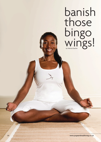banish those bingo wings! by Patricia Ezechie

26 **www.yogaandhealthmag.co.uk**

318000 西野野田代村県県